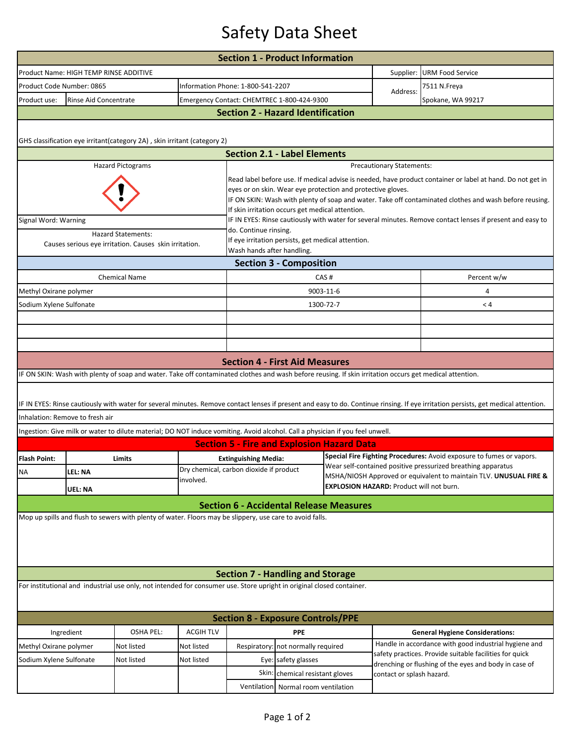## Safety Data Sheet

|                                                                                                                                                                                    |                                                              |                                                                                                                                                         |                                                                                                                                                                                                                                                                                                                                         | <b>Section 1 - Product Information</b>                                                                                             |                                    |           |                                                                                                                                      |                                                                                                                  |  |  |  |  |  |
|------------------------------------------------------------------------------------------------------------------------------------------------------------------------------------|--------------------------------------------------------------|---------------------------------------------------------------------------------------------------------------------------------------------------------|-----------------------------------------------------------------------------------------------------------------------------------------------------------------------------------------------------------------------------------------------------------------------------------------------------------------------------------------|------------------------------------------------------------------------------------------------------------------------------------|------------------------------------|-----------|--------------------------------------------------------------------------------------------------------------------------------------|------------------------------------------------------------------------------------------------------------------|--|--|--|--|--|
|                                                                                                                                                                                    | Product Name: HIGH TEMP RINSE ADDITIVE                       |                                                                                                                                                         |                                                                                                                                                                                                                                                                                                                                         |                                                                                                                                    |                                    |           | Supplier:                                                                                                                            | <b>URM Food Service</b>                                                                                          |  |  |  |  |  |
|                                                                                                                                                                                    | Product Code Number: 0865                                    |                                                                                                                                                         |                                                                                                                                                                                                                                                                                                                                         |                                                                                                                                    | Information Phone: 1-800-541-2207  |           |                                                                                                                                      | 7511 N.Freya                                                                                                     |  |  |  |  |  |
| Product use:                                                                                                                                                                       | Rinse Aid Concentrate                                        |                                                                                                                                                         |                                                                                                                                                                                                                                                                                                                                         | Emergency Contact: CHEMTREC 1-800-424-9300                                                                                         |                                    |           | Address:                                                                                                                             | Spokane, WA 99217                                                                                                |  |  |  |  |  |
| <b>Section 2 - Hazard Identification</b>                                                                                                                                           |                                                              |                                                                                                                                                         |                                                                                                                                                                                                                                                                                                                                         |                                                                                                                                    |                                    |           |                                                                                                                                      |                                                                                                                  |  |  |  |  |  |
| GHS classification eye irritant(category 2A), skin irritant (category 2)                                                                                                           |                                                              |                                                                                                                                                         |                                                                                                                                                                                                                                                                                                                                         |                                                                                                                                    |                                    |           |                                                                                                                                      |                                                                                                                  |  |  |  |  |  |
| <b>Section 2.1 - Label Elements</b>                                                                                                                                                |                                                              |                                                                                                                                                         |                                                                                                                                                                                                                                                                                                                                         |                                                                                                                                    |                                    |           |                                                                                                                                      |                                                                                                                  |  |  |  |  |  |
|                                                                                                                                                                                    | <b>Hazard Pictograms</b><br><b>Precautionary Statements:</b> |                                                                                                                                                         |                                                                                                                                                                                                                                                                                                                                         |                                                                                                                                    |                                    |           |                                                                                                                                      |                                                                                                                  |  |  |  |  |  |
|                                                                                                                                                                                    |                                                              |                                                                                                                                                         | Read label before use. If medical advise is needed, have product container or label at hand. Do not get in<br>eyes or on skin. Wear eye protection and protective gloves.<br>IF ON SKIN: Wash with plenty of soap and water. Take off contaminated clothes and wash before reusing.<br>If skin irritation occurs get medical attention. |                                                                                                                                    |                                    |           |                                                                                                                                      |                                                                                                                  |  |  |  |  |  |
| Signal Word: Warning                                                                                                                                                               |                                                              |                                                                                                                                                         |                                                                                                                                                                                                                                                                                                                                         | IF IN EYES: Rinse cautiously with water for several minutes. Remove contact lenses if present and easy to<br>do. Continue rinsing. |                                    |           |                                                                                                                                      |                                                                                                                  |  |  |  |  |  |
| <b>Hazard Statements:</b><br>Causes serious eye irritation. Causes skin irritation.                                                                                                |                                                              |                                                                                                                                                         |                                                                                                                                                                                                                                                                                                                                         | If eye irritation persists, get medical attention.<br>Wash hands after handling.                                                   |                                    |           |                                                                                                                                      |                                                                                                                  |  |  |  |  |  |
| <b>Section 3 - Composition</b>                                                                                                                                                     |                                                              |                                                                                                                                                         |                                                                                                                                                                                                                                                                                                                                         |                                                                                                                                    |                                    |           |                                                                                                                                      |                                                                                                                  |  |  |  |  |  |
|                                                                                                                                                                                    |                                                              | <b>Chemical Name</b>                                                                                                                                    |                                                                                                                                                                                                                                                                                                                                         | CAS#                                                                                                                               |                                    |           | Percent w/w                                                                                                                          |                                                                                                                  |  |  |  |  |  |
| Methyl Oxirane polymer                                                                                                                                                             |                                                              |                                                                                                                                                         |                                                                                                                                                                                                                                                                                                                                         |                                                                                                                                    |                                    | 9003-11-6 |                                                                                                                                      | 4                                                                                                                |  |  |  |  |  |
| Sodium Xylene Sulfonate                                                                                                                                                            |                                                              |                                                                                                                                                         |                                                                                                                                                                                                                                                                                                                                         |                                                                                                                                    |                                    | 1300-72-7 |                                                                                                                                      | < 4                                                                                                              |  |  |  |  |  |
|                                                                                                                                                                                    |                                                              |                                                                                                                                                         |                                                                                                                                                                                                                                                                                                                                         |                                                                                                                                    |                                    |           |                                                                                                                                      |                                                                                                                  |  |  |  |  |  |
|                                                                                                                                                                                    |                                                              |                                                                                                                                                         |                                                                                                                                                                                                                                                                                                                                         |                                                                                                                                    |                                    |           |                                                                                                                                      |                                                                                                                  |  |  |  |  |  |
|                                                                                                                                                                                    |                                                              |                                                                                                                                                         |                                                                                                                                                                                                                                                                                                                                         |                                                                                                                                    |                                    |           |                                                                                                                                      |                                                                                                                  |  |  |  |  |  |
|                                                                                                                                                                                    |                                                              |                                                                                                                                                         |                                                                                                                                                                                                                                                                                                                                         | <b>Section 4 - First Aid Measures</b>                                                                                              |                                    |           |                                                                                                                                      |                                                                                                                  |  |  |  |  |  |
|                                                                                                                                                                                    |                                                              | IF ON SKIN: Wash with plenty of soap and water. Take off contaminated clothes and wash before reusing. If skin irritation occurs get medical attention. |                                                                                                                                                                                                                                                                                                                                         |                                                                                                                                    |                                    |           |                                                                                                                                      |                                                                                                                  |  |  |  |  |  |
| IF IN EYES: Rinse cautiously with water for several minutes. Remove contact lenses if present and easy to do. Continue rinsing. If eye irritation persists, get medical attention. |                                                              |                                                                                                                                                         |                                                                                                                                                                                                                                                                                                                                         |                                                                                                                                    |                                    |           |                                                                                                                                      |                                                                                                                  |  |  |  |  |  |
|                                                                                                                                                                                    | Inhalation: Remove to fresh air                              |                                                                                                                                                         |                                                                                                                                                                                                                                                                                                                                         |                                                                                                                                    |                                    |           |                                                                                                                                      |                                                                                                                  |  |  |  |  |  |
|                                                                                                                                                                                    |                                                              | Ingestion: Give milk or water to dilute material; DO NOT induce vomiting. Avoid alcohol. Call a physician if you feel unwell.                           |                                                                                                                                                                                                                                                                                                                                         |                                                                                                                                    |                                    |           |                                                                                                                                      |                                                                                                                  |  |  |  |  |  |
|                                                                                                                                                                                    |                                                              |                                                                                                                                                         |                                                                                                                                                                                                                                                                                                                                         | <b>Section 5 - Fire and Explosion Hazard Data</b>                                                                                  |                                    |           |                                                                                                                                      |                                                                                                                  |  |  |  |  |  |
| <b>Flash Point:</b>                                                                                                                                                                |                                                              | Limits                                                                                                                                                  |                                                                                                                                                                                                                                                                                                                                         | <b>Extinguishing Media:</b><br>Dry chemical, carbon dioxide if product                                                             |                                    |           | Special Fire Fighting Procedures: Avoid exposure to fumes or vapors.<br>Wear self-contained positive pressurized breathing apparatus |                                                                                                                  |  |  |  |  |  |
| <b>NA</b>                                                                                                                                                                          | LEL: NA                                                      |                                                                                                                                                         | involved.                                                                                                                                                                                                                                                                                                                               |                                                                                                                                    |                                    |           | MSHA/NIOSH Approved or equivalent to maintain TLV. UNUSUAL FIRE &                                                                    |                                                                                                                  |  |  |  |  |  |
|                                                                                                                                                                                    | <b>UEL: NA</b>                                               |                                                                                                                                                         | <b>EXPLOSION HAZARD: Product will not burn.</b>                                                                                                                                                                                                                                                                                         |                                                                                                                                    |                                    |           |                                                                                                                                      |                                                                                                                  |  |  |  |  |  |
|                                                                                                                                                                                    |                                                              |                                                                                                                                                         |                                                                                                                                                                                                                                                                                                                                         | <b>Section 6 - Accidental Release Measures</b>                                                                                     |                                    |           |                                                                                                                                      |                                                                                                                  |  |  |  |  |  |
| Mop up spills and flush to sewers with plenty of water. Floors may be slippery, use care to avoid falls.                                                                           |                                                              |                                                                                                                                                         |                                                                                                                                                                                                                                                                                                                                         |                                                                                                                                    |                                    |           |                                                                                                                                      |                                                                                                                  |  |  |  |  |  |
| <b>Section 7 - Handling and Storage</b>                                                                                                                                            |                                                              |                                                                                                                                                         |                                                                                                                                                                                                                                                                                                                                         |                                                                                                                                    |                                    |           |                                                                                                                                      |                                                                                                                  |  |  |  |  |  |
| For institutional and industrial use only, not intended for consumer use. Store upright in original closed container.                                                              |                                                              |                                                                                                                                                         |                                                                                                                                                                                                                                                                                                                                         |                                                                                                                                    |                                    |           |                                                                                                                                      |                                                                                                                  |  |  |  |  |  |
| <b>Section 8 - Exposure Controls/PPE</b>                                                                                                                                           |                                                              |                                                                                                                                                         |                                                                                                                                                                                                                                                                                                                                         |                                                                                                                                    |                                    |           |                                                                                                                                      |                                                                                                                  |  |  |  |  |  |
|                                                                                                                                                                                    | Ingredient                                                   | <b>OSHA PEL:</b>                                                                                                                                        | <b>ACGIH TLV</b>                                                                                                                                                                                                                                                                                                                        |                                                                                                                                    | <b>PPE</b>                         |           |                                                                                                                                      | <b>General Hygiene Considerations:</b>                                                                           |  |  |  |  |  |
| Methyl Oxirane polymer                                                                                                                                                             |                                                              | Not listed                                                                                                                                              | Not listed                                                                                                                                                                                                                                                                                                                              |                                                                                                                                    | Respiratory: not normally required |           | Handle in accordance with good industrial hygiene and                                                                                |                                                                                                                  |  |  |  |  |  |
| Sodium Xylene Sulfonate                                                                                                                                                            |                                                              | Not listed                                                                                                                                              | Not listed                                                                                                                                                                                                                                                                                                                              | Eye: safety glasses                                                                                                                |                                    |           |                                                                                                                                      | safety practices. Provide suitable facilities for quick<br>drenching or flushing of the eyes and body in case of |  |  |  |  |  |
|                                                                                                                                                                                    |                                                              |                                                                                                                                                         |                                                                                                                                                                                                                                                                                                                                         | Skin: chemical resistant gloves                                                                                                    |                                    |           | contact or splash hazard.                                                                                                            |                                                                                                                  |  |  |  |  |  |
|                                                                                                                                                                                    |                                                              |                                                                                                                                                         |                                                                                                                                                                                                                                                                                                                                         | Ventilation<br>Normal room ventilation                                                                                             |                                    |           |                                                                                                                                      |                                                                                                                  |  |  |  |  |  |